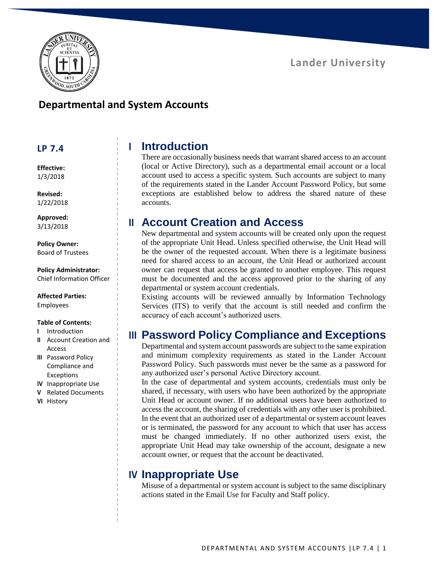

# **Lander University**

#### **Departmental and System Accounts**

#### **LP 7.4**

**Effective:** 1/3/2018

**Revised:** 1/22/2018

**Approved:** 3/13/2018

**Policy Owner:** Board of Trustees

**Policy Administrator:** Chief Information Officer

**Affected Parties:** Employees

#### **Table of Contents:**

- **I** Introduction
- **II** Account Creation and Access
- **III** Password Policy Compliance and Exceptions
- **IV** Inappropriate Use
- **V** Related Documents
- **VI** History

#### **I Introduction**

There are occasionally business needs that warrant shared access to an account (local or Active Directory), such as a departmental email account or a local account used to access a specific system. Such accounts are subject to many of the requirements stated in the Lander Account Password Policy, but some exceptions are established below to address the shared nature of these accounts.

# **II Account Creation and Access**

New departmental and system accounts will be created only upon the request of the appropriate Unit Head. Unless specified otherwise, the Unit Head will be the owner of the requested account. When there is a legitimate business need for shared access to an account, the Unit Head or authorized account owner can request that access be granted to another employee. This request must be documented and the access approved prior to the sharing of any departmental or system account credentials.

Existing accounts will be reviewed annually by Information Technology Services (ITS) to verify that the account is still needed and confirm the accuracy of each account's authorized users.

### **III Password Policy Compliance and Exceptions**

Departmental and system account passwords are subject to the same expiration and minimum complexity requirements as stated in the Lander Account Password Policy. Such passwords must never be the same as a password for any authorized user's personal Active Directory account.

In the case of departmental and system accounts, credentials must only be shared, if necessary, with users who have been authorized by the appropriate Unit Head or account owner. If no additional users have been authorized to access the account, the sharing of credentials with any other user is prohibited. In the event that an authorized user of a departmental or system account leaves or is terminated, the password for any account to which that user has access must be changed immediately. If no other authorized users exist, the appropriate Unit Head may take ownership of the account, designate a new account owner, or request that the account be deactivated.

### **IV Inappropriate Use**

Misuse of a departmental or system account is subject to the same disciplinary actions stated in the Email Use for Faculty and Staff policy.